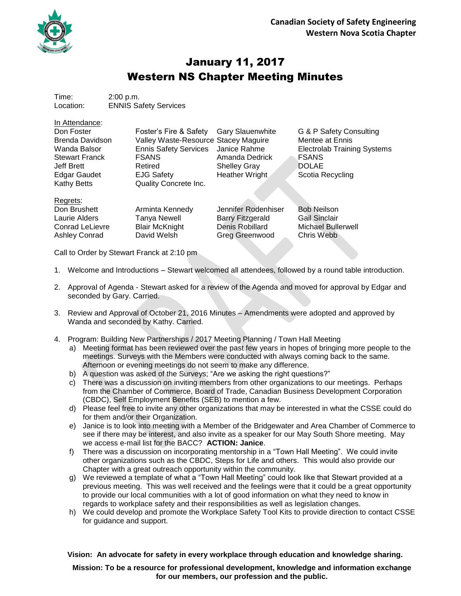

In Attendance:

## January 11, 2017 Western NS Chapter Meeting Minutes

Time: 2:00 p.m. Location: ENNIS Safety Services

| in Attendance:         |                                      |                         |                                    |
|------------------------|--------------------------------------|-------------------------|------------------------------------|
| Don Foster             | Foster's Fire & Safety               | <b>Gary Slauenwhite</b> | G & P Safety Consulting            |
| <b>Brenda Davidson</b> | Valley Waste-Resource Stacey Maguire |                         | Mentee at Ennis                    |
| Wanda Balsor           | <b>Ennis Safety Services</b>         | Janice Rahme            | <b>Electrolab Training Systems</b> |
| <b>Stewart Franck</b>  | <b>FSANS</b>                         | Amanda Dedrick          | <b>FSANS</b>                       |
| Jeff Brett             | Retired                              | <b>Shelley Gray</b>     | <b>DOLAE</b>                       |
| <b>Edgar Gaudet</b>    | <b>EJG Safety</b>                    | Heather Wright          | Scotia Recycling                   |
| <b>Kathy Betts</b>     | <b>Quality Concrete Inc.</b>         |                         |                                    |
| Regrets:               |                                      |                         |                                    |
| Don Brushett           | Arminta Kennedy                      | Jennifer Rodenhiser     | <b>Bob Neilson</b>                 |
| Laurie Alders          | <b>Tanya Newell</b>                  | <b>Barry Fitzgerald</b> | <b>Gail Sinclair</b>               |
| <b>Conrad LeLievre</b> | <b>Blair McKnight</b>                | Denis Robillard         | Michael Bullerwell                 |

Call to Order by Stewart Franck at 2:10 pm

- 1. Welcome and Introductions Stewart welcomed all attendees, followed by a round table introduction.
- 2. Approval of Agenda Stewart asked for a review of the Agenda and moved for approval by Edgar and seconded by Gary. Carried.
- 3. Review and Approval of October 21, 2016 Minutes Amendments were adopted and approved by Wanda and seconded by Kathy. Carried.
- 4. Program: Building New Partnerships / 2017 Meeting Planning / Town Hall Meeting

Ashley Conrad David Welsh Greg Greenwood Chris Webb

- a) Meeting format has been reviewed over the past few years in hopes of bringing more people to the meetings. Surveys with the Members were conducted with always coming back to the same. Afternoon or evening meetings do not seem to make any difference.
- b) A question was asked of the Surveys; "Are we asking the right questions?"
- c) There was a discussion on inviting members from other organizations to our meetings. Perhaps from the Chamber of Commerce, Board of Trade, Canadian Business Development Corporation (CBDC), Self Employment Benefits (SEB) to mention a few.
- d) Please feel free to invite any other organizations that may be interested in what the CSSE could do for them and/or their Organization.
- e) Janice is to look into meeting with a Member of the Bridgewater and Area Chamber of Commerce to see if there may be interest, and also invite as a speaker for our May South Shore meeting. May we access e-mail list for the BACC? **ACTION: Janice**.
- f) There was a discussion on incorporating mentorship in a "Town Hall Meeting". We could invite other organizations such as the CBDC, Steps for Life and others. This would also provide our Chapter with a great outreach opportunity within the community.
- g) We reviewed a template of what a "Town Hall Meeting" could look like that Stewart provided at a previous meeting. This was well received and the feelings were that it could be a great opportunity to provide our local communities with a lot of good information on what they need to know in regards to workplace safety and their responsibilities as well as legislation changes.
- h) We could develop and promote the Workplace Safety Tool Kits to provide direction to contact CSSE for guidance and support.

**Vision: An advocate for safety in every workplace through education and knowledge sharing.**

**Mission: To be a resource for professional development, knowledge and information exchange for our members, our profession and the public.**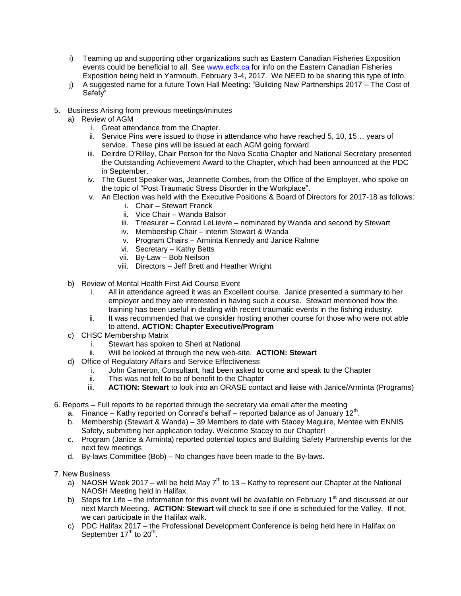- i) Teaming up and supporting other organizations such as Eastern Canadian Fisheries Exposition events could be beneficial to all. See [www.ecfx.ca](http://www.ecfx.ca/) for info on the Eastern Canadian Fisheries Exposition being held in Yarmouth, February 3-4, 2017. We NEED to be sharing this type of info.
- j) A suggested name for a future Town Hall Meeting: "Building New Partnerships 2017 The Cost of Safety"
- 5. Business Arising from previous meetings/minutes
	- a) Review of AGM
		- i. Great attendance from the Chapter.
		- ii. Service Pins were issued to those in attendance who have reached 5, 10, 15… years of service. These pins will be issued at each AGM going forward.
		- iii. Deirdre O'Rilley, Chair Person for the Nova Scotia Chapter and National Secretary presented the Outstanding Achievement Award to the Chapter, which had been announced at the PDC in September.
		- iv. The Guest Speaker was, Jeannette Combes, from the Office of the Employer, who spoke on the topic of "Post Traumatic Stress Disorder in the Workplace".
		- v. An Election was held with the Executive Positions & Board of Directors for 2017-18 as follows:
			- i. Chair Stewart Franck
			- ii. Vice Chair Wanda Balsor
			- iii. Treasurer Conrad LeLievre nominated by Wanda and second by Stewart
			- iv. Membership Chair interim Stewart & Wanda
			- v. Program Chairs Arminta Kennedy and Janice Rahme
			- vi. Secretary Kathy Betts
			- vii. By-Law Bob Neilson
			- viii. Directors Jeff Brett and Heather Wright
		- b) Review of Mental Health First Aid Course Event
			- i. All in attendance agreed it was an Excellent course. Janice presented a summary to her employer and they are interested in having such a course. Stewart mentioned how the training has been useful in dealing with recent traumatic events in the fishing industry.
			- ii. It was recommended that we consider hosting another course for those who were not able to attend. **ACTION: Chapter Executive/Program**
		- c) CHSC Membership Matrix
			- i. Stewart has spoken to Sheri at National
			- ii. Will be looked at through the new web-site. **ACTION: Stewart**
		- d) Office of Regulatory Affairs and Service Effectiveness
			- i. John Cameron, Consultant, had been asked to come and speak to the Chapter
			- ii. This was not felt to be of benefit to the Chapter
			- iii. **ACTION: Stewart** to look into an ORASE contact and liaise with Janice/Arminta (Programs)
- 6. Reports Full reports to be reported through the secretary via email after the meeting
	- a. Finance Kathy reported on Conrad's behalf reported balance as of January  $12^{th}$ .
	- b. Membership (Stewart & Wanda) 39 Members to date with Stacey Maguire, Mentee with ENNIS Safety, submitting her application today. Welcome Stacey to our Chapter!
	- c. Program (Janice & Arminta) reported potential topics and Building Safety Partnership events for the next few meetings
	- d. By-laws Committee (Bob) No changes have been made to the By-laws.
- 7. New Business
	- a) NAOSH Week 2017 will be held May  $7<sup>th</sup>$  to 13 Kathy to represent our Chapter at the National NAOSH Meeting held in Halifax.
	- b) Steps for Life the information for this event will be available on February 1<sup>st</sup> and discussed at our next March Meeting. **ACTION**: **Stewart** will check to see if one is scheduled for the Valley. If not, we can participate in the Halifax walk.
	- c) PDC Halifax 2017 the Professional Development Conference is being held here in Halifax on September  $17<sup>th</sup>$  to  $20<sup>th</sup>$ .